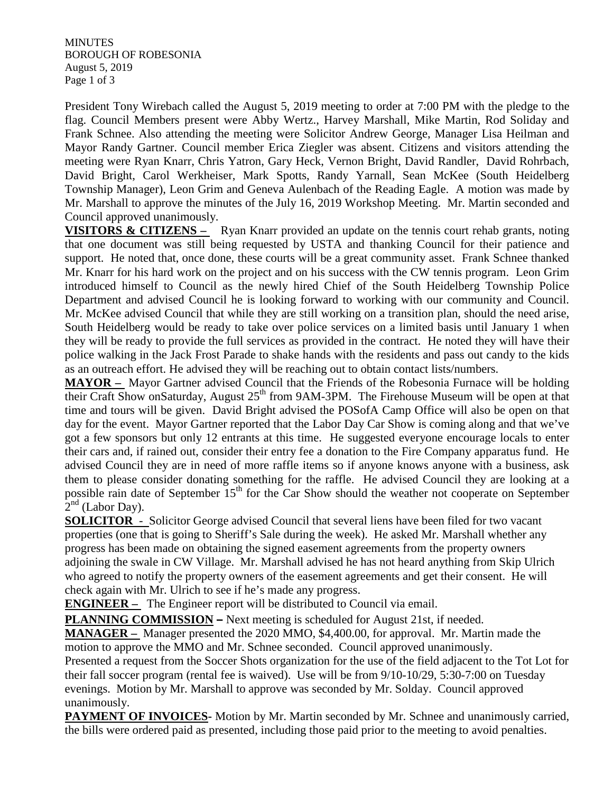**MINUTES** BOROUGH OF ROBESONIA August 5, 2019 Page 1 of 3

President Tony Wirebach called the August 5, 2019 meeting to order at 7:00 PM with the pledge to the flag. Council Members present were Abby Wertz., Harvey Marshall, Mike Martin, Rod Soliday and Frank Schnee. Also attending the meeting were Solicitor Andrew George, Manager Lisa Heilman and Mayor Randy Gartner. Council member Erica Ziegler was absent. Citizens and visitors attending the meeting were Ryan Knarr, Chris Yatron, Gary Heck, Vernon Bright, David Randler, David Rohrbach, David Bright, Carol Werkheiser, Mark Spotts, Randy Yarnall, Sean McKee (South Heidelberg Township Manager), Leon Grim and Geneva Aulenbach of the Reading Eagle. A motion was made by Mr. Marshall to approve the minutes of the July 16, 2019 Workshop Meeting. Mr. Martin seconded and Council approved unanimously.

**VISITORS & CITIZENS** – Ryan Knarr provided an update on the tennis court rehab grants, noting that one document was still being requested by USTA and thanking Council for their patience and support. He noted that, once done, these courts will be a great community asset. Frank Schnee thanked Mr. Knarr for his hard work on the project and on his success with the CW tennis program. Leon Grim introduced himself to Council as the newly hired Chief of the South Heidelberg Township Police Department and advised Council he is looking forward to working with our community and Council. Mr. McKee advised Council that while they are still working on a transition plan, should the need arise, South Heidelberg would be ready to take over police services on a limited basis until January 1 when they will be ready to provide the full services as provided in the contract. He noted they will have their police walking in the Jack Frost Parade to shake hands with the residents and pass out candy to the kids as an outreach effort. He advised they will be reaching out to obtain contact lists/numbers.

**MAYOR –** Mayor Gartner advised Council that the Friends of the Robesonia Furnace will be holding their Craft Show onSaturday, August 25<sup>th</sup> from 9AM-3PM. The Firehouse Museum will be open at that time and tours will be given. David Bright advised the POSofA Camp Office will also be open on that day for the event. Mayor Gartner reported that the Labor Day Car Show is coming along and that we've got a few sponsors but only 12 entrants at this time. He suggested everyone encourage locals to enter their cars and, if rained out, consider their entry fee a donation to the Fire Company apparatus fund. He advised Council they are in need of more raffle items so if anyone knows anyone with a business, ask them to please consider donating something for the raffle. He advised Council they are looking at a possible rain date of September  $15<sup>th</sup>$  for the Car Show should the weather not cooperate on September  $2<sup>nd</sup>$  (Labor Day).

**SOLICITOR** - Solicitor George advised Council that several liens have been filed for two vacant properties (one that is going to Sheriff's Sale during the week). He asked Mr. Marshall whether any progress has been made on obtaining the signed easement agreements from the property owners adjoining the swale in CW Village. Mr. Marshall advised he has not heard anything from Skip Ulrich who agreed to notify the property owners of the easement agreements and get their consent. He will check again with Mr. Ulrich to see if he's made any progress.

**ENGINEER** – The Engineer report will be distributed to Council via email.

**PLANNING COMMISSION –** Next meeting is scheduled for August 21st, if needed.

**MANAGER –** Manager presented the 2020 MMO, \$4,400.00, for approval. Mr. Martin made the motion to approve the MMO and Mr. Schnee seconded. Council approved unanimously.

Presented a request from the Soccer Shots organization for the use of the field adjacent to the Tot Lot for their fall soccer program (rental fee is waived). Use will be from 9/10-10/29, 5:30-7:00 on Tuesday evenings. Motion by Mr. Marshall to approve was seconded by Mr. Solday. Council approved unanimously.

**PAYMENT OF INVOICES-** Motion by Mr. Martin seconded by Mr. Schnee and unanimously carried, the bills were ordered paid as presented, including those paid prior to the meeting to avoid penalties.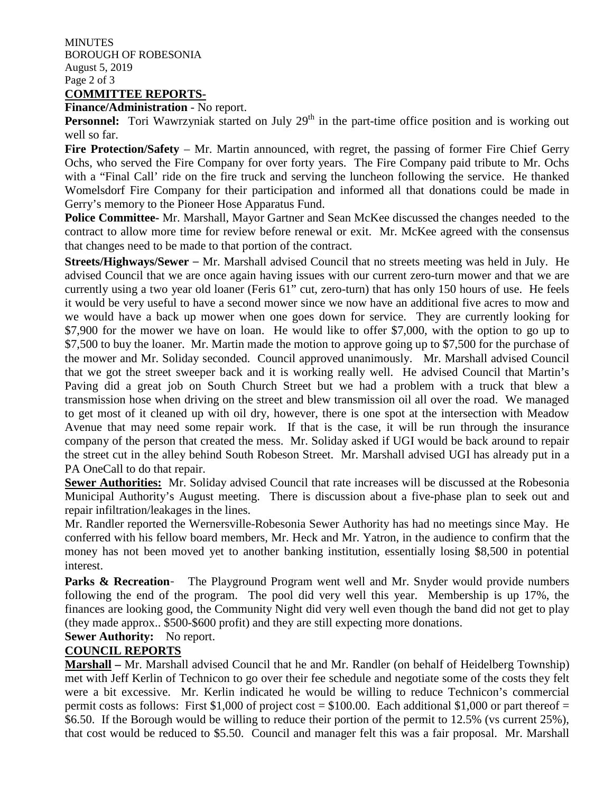**MINUTES** BOROUGH OF ROBESONIA August 5, 2019 Page 2 of 3 **COMMITTEE REPORTS-**

**Finance/Administration** - No report.

**Personnel:** Tori Wawrzyniak started on July 29<sup>th</sup> in the part-time office position and is working out well so far.

**Fire Protection/Safety** – Mr. Martin announced, with regret, the passing of former Fire Chief Gerry Ochs, who served the Fire Company for over forty years. The Fire Company paid tribute to Mr. Ochs with a "Final Call' ride on the fire truck and serving the luncheon following the service. He thanked Womelsdorf Fire Company for their participation and informed all that donations could be made in Gerry's memory to the Pioneer Hose Apparatus Fund.

**Police Committee-** Mr. Marshall, Mayor Gartner and Sean McKee discussed the changes needed to the contract to allow more time for review before renewal or exit. Mr. McKee agreed with the consensus that changes need to be made to that portion of the contract.

**Streets/Highways/Sewer** – Mr. Marshall advised Council that no streets meeting was held in July. He advised Council that we are once again having issues with our current zero-turn mower and that we are currently using a two year old loaner (Feris 61" cut, zero-turn) that has only 150 hours of use. He feels it would be very useful to have a second mower since we now have an additional five acres to mow and we would have a back up mower when one goes down for service. They are currently looking for \$7,900 for the mower we have on loan. He would like to offer \$7,000, with the option to go up to \$7,500 to buy the loaner. Mr. Martin made the motion to approve going up to \$7,500 for the purchase of the mower and Mr. Soliday seconded. Council approved unanimously. Mr. Marshall advised Council that we got the street sweeper back and it is working really well. He advised Council that Martin's Paving did a great job on South Church Street but we had a problem with a truck that blew a transmission hose when driving on the street and blew transmission oil all over the road. We managed to get most of it cleaned up with oil dry, however, there is one spot at the intersection with Meadow Avenue that may need some repair work. If that is the case, it will be run through the insurance company of the person that created the mess. Mr. Soliday asked if UGI would be back around to repair the street cut in the alley behind South Robeson Street. Mr. Marshall advised UGI has already put in a PA OneCall to do that repair.

**Sewer Authorities:** Mr. Soliday advised Council that rate increases will be discussed at the Robesonia Municipal Authority's August meeting. There is discussion about a five-phase plan to seek out and repair infiltration/leakages in the lines.

Mr. Randler reported the Wernersville-Robesonia Sewer Authority has had no meetings since May. He conferred with his fellow board members, Mr. Heck and Mr. Yatron, in the audience to confirm that the money has not been moved yet to another banking institution, essentially losing \$8,500 in potential interest.

**Parks & Recreation-** The Playground Program went well and Mr. Snyder would provide numbers following the end of the program. The pool did very well this year. Membership is up 17%, the finances are looking good, the Community Night did very well even though the band did not get to play (they made approx.. \$500-\$600 profit) and they are still expecting more donations.

## **Sewer Authority:** No report.

## **COUNCIL REPORTS**

**Marshall –** Mr. Marshall advised Council that he and Mr. Randler (on behalf of Heidelberg Township) met with Jeff Kerlin of Technicon to go over their fee schedule and negotiate some of the costs they felt were a bit excessive. Mr. Kerlin indicated he would be willing to reduce Technicon's commercial permit costs as follows: First \$1,000 of project cost = \$100.00. Each additional \$1,000 or part thereof = \$6.50. If the Borough would be willing to reduce their portion of the permit to 12.5% (vs current 25%), that cost would be reduced to \$5.50. Council and manager felt this was a fair proposal. Mr. Marshall